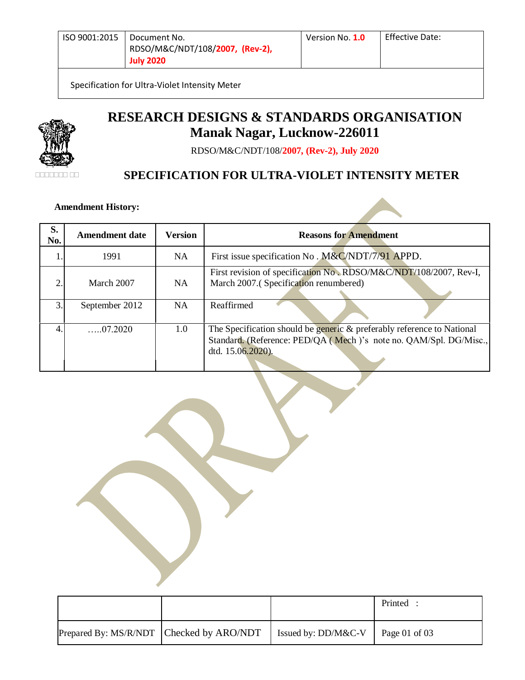Specification for Ultra-Violet Intensity Meter



# **RESEARCH DESIGNS & STANDARDS ORGANISATION Manak Nagar, Lucknow-226011**

RDSO/M&C/NDT/108/**2007, (Rev-2), July 2020**

# **SPECIFICATION FOR ULTRA-VIOLET INTENSITY METER**

 **Amendment History: .**

| S.<br>No.             | <b>Amendment date</b> | <b>Version</b> | <b>Reasons for Amendment</b>                                                                                                                                     |
|-----------------------|-----------------------|----------------|------------------------------------------------------------------------------------------------------------------------------------------------------------------|
|                       | 1991                  | NA.            | First issue specification No. M&C/NDT/7/91 APPD.                                                                                                                 |
| $\mathcal{D}_{\cdot}$ | March 2007            | NA             | First revision of specification No., RDSO/M&C/NDT/108/2007, Rev-I,<br>March 2007.(Specification renumbered)                                                      |
| $\mathcal{F}$         | September 2012        | NA             | Reaffirmed                                                                                                                                                       |
| $\overline{4}$        | $\dots 07.2020$       | 1.0            | The Specification should be generic & preferably reference to National<br>Standard. (Reference: PED/QA (Mech)'s note no. QAM/Spl. DG/Misc.,<br>dtd. 15.06.2020). |

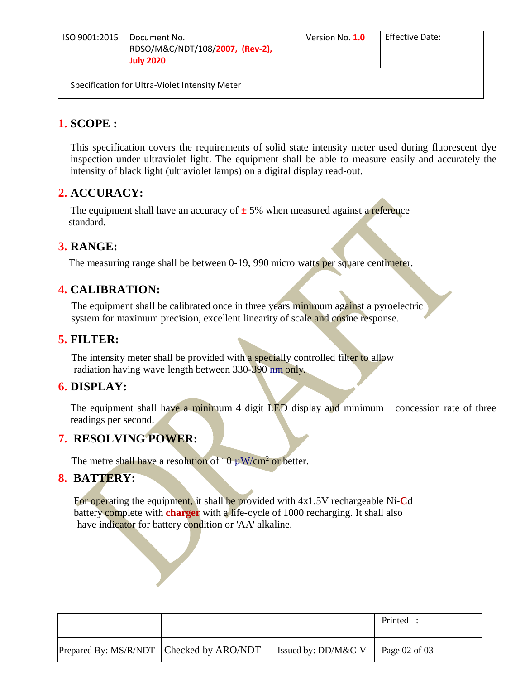| ISO 9001:2015 | Document No.<br>RDSO/M&C/NDT/108/2007, (Rev-2),<br><b>July 2020</b> | Version No. 1.0 | Effective Date: |
|---------------|---------------------------------------------------------------------|-----------------|-----------------|
|               | Specification for Ultra-Violet Intensity Meter                      |                 |                 |

# **1. SCOPE :**

This specification covers the requirements of solid state intensity meter used during fluorescent dye inspection under ultraviolet light. The equipment shall be able to measure easily and accurately the intensity of black light (ultraviolet lamps) on a digital display read-out.

## **2. ACCURACY:**

The equipment shall have an accuracy of  $\pm$  5% when measured against a reference standard.

# **3. RANGE:**

The measuring range shall be between 0-19, 990 micro watts per square centimeter.

# **4. CALIBRATION:**

The equipment shall be calibrated once in three years minimum against a pyroelectric system for maximum precision, excellent linearity of scale and cosine response.

# **5. FILTER:**

The intensity meter shall be provided with a specially controlled filter to allow radiation having wave length between 330-390 nm only.

#### **6. DISPLAY:**

The equipment shall have a minimum 4 digit LED display and minimum concession rate of three readings per second.

#### **7. RESOLVING POWER:**

The metre shall have a resolution of 10  $\mu$ W/cm<sup>2</sup> or better.

#### **8. BATTERY:**

For operating the equipment, it shall be provided with 4x1.5V rechargeable Ni-**C**d battery complete with **charger** with a life-cycle of 1000 recharging. It shall also have indicator for battery condition or 'AA' alkaline.

|                                          |                                           | Printed |
|------------------------------------------|-------------------------------------------|---------|
| Prepared By: MS/R/NDT Checked by ARO/NDT | Issued by: DD/M&C-V $\vert$ Page 02 of 03 |         |